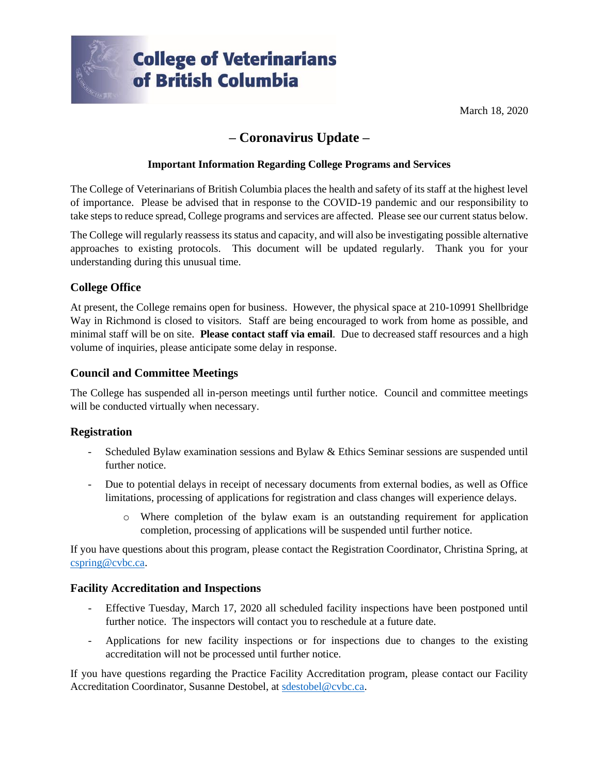

March 18, 2020

# **– Coronavirus Update –**

# **Important Information Regarding College Programs and Services**

The College of Veterinarians of British Columbia places the health and safety of its staff at the highest level of importance. Please be advised that in response to the COVID-19 pandemic and our responsibility to take steps to reduce spread, College programs and services are affected. Please see our current status below.

The College will regularly reassess its status and capacity, and will also be investigating possible alternative approaches to existing protocols. This document will be updated regularly. Thank you for your understanding during this unusual time.

# **College Office**

At present, the College remains open for business. However, the physical space at 210-10991 Shellbridge Way in Richmond is closed to visitors. Staff are being encouraged to work from home as possible, and minimal staff will be on site. **Please contact staff via email**. Due to decreased staff resources and a high volume of inquiries, please anticipate some delay in response.

# **Council and Committee Meetings**

The College has suspended all in-person meetings until further notice. Council and committee meetings will be conducted virtually when necessary.

#### **Registration**

- Scheduled Bylaw examination sessions and Bylaw & Ethics Seminar sessions are suspended until further notice.
- Due to potential delays in receipt of necessary documents from external bodies, as well as Office limitations, processing of applications for registration and class changes will experience delays.
	- o Where completion of the bylaw exam is an outstanding requirement for application completion, processing of applications will be suspended until further notice.

If you have questions about this program, please contact the Registration Coordinator, Christina Spring, at [cspring@cvbc.ca.](mailto:cspring@cvbc.ca)

#### **Facility Accreditation and Inspections**

- Effective Tuesday, March 17, 2020 all scheduled facility inspections have been postponed until further notice. The inspectors will contact you to reschedule at a future date.
- Applications for new facility inspections or for inspections due to changes to the existing accreditation will not be processed until further notice.

If you have questions regarding the Practice Facility Accreditation program, please contact our Facility Accreditation Coordinator, Susanne Destobel, at [sdestobel@cvbc.ca.](mailto:sdestobel@cvbc.ca)